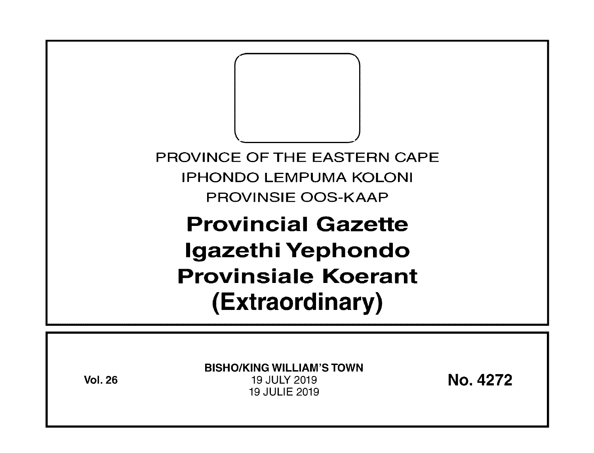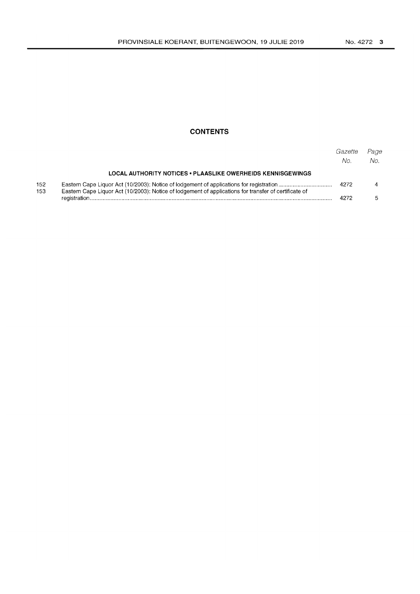# **CONTENTS**

|            |                                                                                                       | Gazette<br>No. | Page<br>No. |
|------------|-------------------------------------------------------------------------------------------------------|----------------|-------------|
|            | LOCAL AUTHORITY NOTICES • PLAASLIKE OWERHEIDS KENNISGEWINGS                                           |                |             |
| 152<br>153 | Eastern Cape Liquor Act (10/2003): Notice of lodgement of applications for transfer of certificate of | 4272           |             |
|            |                                                                                                       | 4272           |             |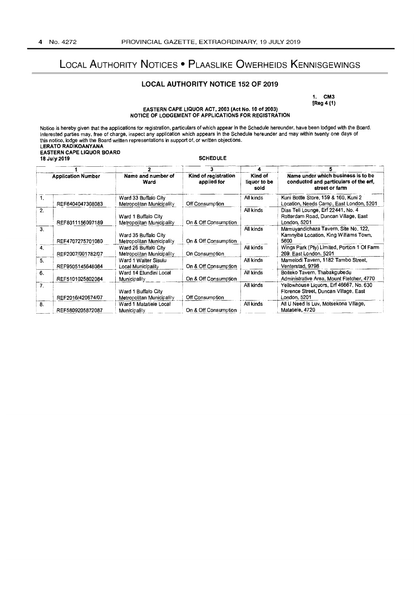# LOCAL AUTHORITY NOTICES • PLAASLIKE OWERHEIDS KENNISGEWINGS

# LOCAL AUTHORITY NOTICE 152 OF 2019

1. CM3 [Reg 4 (1)

#### EASTERN CAPE LIQUOR ACT, 2003 (Act No. 10 of 2003) NOTICE OF LODGEMENT OF APPLICATIONS FOR REGISTRATION

| Notice is hereby given that the applications for registration, particulars of which appear in the Schedule hereunder, have been lodged with the Board.<br>Interested parties may, free of charge, inspect any application which appears in the Schedule hereunder and may within twenty one days of<br>this notice, lodge with the Board written representations in support of, or written objections.<br>LERATO RADIKOANYANA<br><b>EASTERN CAPE LIQUOR BOARD</b><br><b>SCHEDULE</b><br>18 July 2019 |                   |                                                   |                                     |                                 |                                                                                                  |  |  |  |  |
|------------------------------------------------------------------------------------------------------------------------------------------------------------------------------------------------------------------------------------------------------------------------------------------------------------------------------------------------------------------------------------------------------------------------------------------------------------------------------------------------------|-------------------|---------------------------------------------------|-------------------------------------|---------------------------------|--------------------------------------------------------------------------------------------------|--|--|--|--|
| $\mathbf{z}$                                                                                                                                                                                                                                                                                                                                                                                                                                                                                         |                   |                                                   | 3                                   |                                 |                                                                                                  |  |  |  |  |
| <b>Application Number</b>                                                                                                                                                                                                                                                                                                                                                                                                                                                                            |                   | Name and number of<br>Ward                        | Kind of registration<br>applied for | Kind of<br>liquor to be<br>sold | Name under which business is to be<br>conducted and particulars of the erf,<br>street or farm    |  |  |  |  |
| 1.                                                                                                                                                                                                                                                                                                                                                                                                                                                                                                   | REF6404047308083  | Ward 33 Buffalo City<br>Metropolitan Municipality | Off Consumption                     | All kinds                       | Kuni Bottle Store, 159 & 160, Kuni 2<br>Location, Needs Camp, East London, 5201                  |  |  |  |  |
| 2.                                                                                                                                                                                                                                                                                                                                                                                                                                                                                                   | REF8011156097189  | Ward 1 Buffalo City<br>Metropolitan Municipality  | On & Off Consumption                | All kinds                       | Dias Teli Lounge, Erf 22441, No. 4<br>Rotterdam Road, Duncan Village, East<br>London 5201        |  |  |  |  |
| $\overline{3}$ .                                                                                                                                                                                                                                                                                                                                                                                                                                                                                     | REF4707275701080  | Ward 35 Buffalo City<br>Metropolitan Municipality | On & Off Consumption                | All kinds                       | Mamuyandichaza Tavern, Site No. 122,<br>Kamnyiba Location, King Williams Town,<br>5600           |  |  |  |  |
| $\overline{4}$ .                                                                                                                                                                                                                                                                                                                                                                                                                                                                                     | REF2007/001782/07 | Ward 26 Buffalo City<br>Metropolitan Municipality | On Consumption                      | All kinds                       | Wings Park (Pty) Limited, Portion 1 Of Farm<br>269. East London, 5201                            |  |  |  |  |
| 5.                                                                                                                                                                                                                                                                                                                                                                                                                                                                                                   | REF9505145648084  | Ward 1 Walter Sisulu<br>Local Municipality        | On & Off Consumption                | All kinds                       | Mamelodi Tavern, 1182 Tambo Street,<br>Venterstad, 9798                                          |  |  |  |  |
| 6.                                                                                                                                                                                                                                                                                                                                                                                                                                                                                                   | REF5101025802084  | Ward 14 Elundini Local<br><b>Municipality</b>     | On & Off Consumption                | All kinds                       | Boiteko Tavern, Thabakgubedu<br>Administrative Area, Mount Fletcher, 4770                        |  |  |  |  |
| 7 <sub>1</sub>                                                                                                                                                                                                                                                                                                                                                                                                                                                                                       | REF2016/420674/07 | Ward 1 Buffalo City<br>Metropolitan Municipality  | Off Consumption                     | All kinds                       | Yellowhouse Liquors, Erf 46667, No. 630<br>Florence Street, Duncan Village, East<br>London, 5201 |  |  |  |  |
| 8.                                                                                                                                                                                                                                                                                                                                                                                                                                                                                                   | REF5809205872087  | Ward 1 Matatiele Local<br>Municipality            | On & Off Consumption                | All kinds                       | All U Need Is Luv, Motsekona Village,<br>Matatiele, 4720                                         |  |  |  |  |